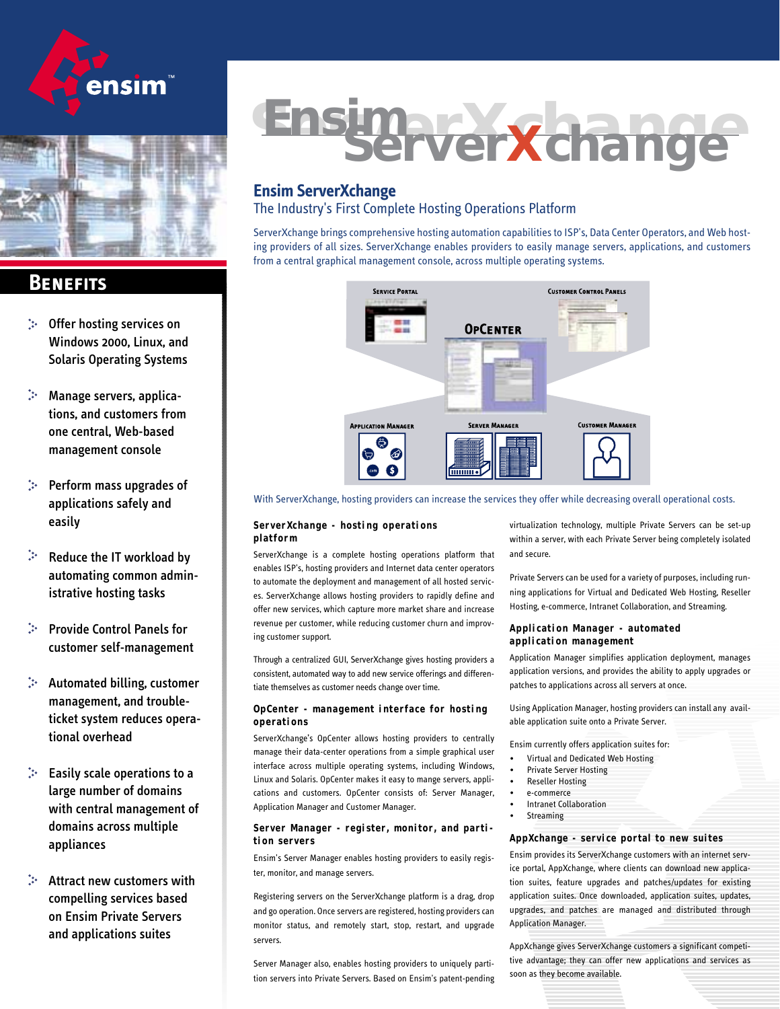# ensim



## **Benefits**

- Offer hosting services on Windows 2000, Linux, and Solaris Operating Systems
- Manage servers, applications, and customers from one central, Web-based management console
- Perform mass upgrades of applications safely and easily
- Ņ. Reduce the IT workload by automating common administrative hosting tasks
- Provide Control Panels for customer self-management
- Automated billing, customer management, and troubleticket system reduces operational overhead
- Easily scale operations to a large number of domains with central management of domains across multiple appliances
- Attract new customers with compelling services based on Ensim Private Servers and applications suites

# **Ensimate Xchange**

### **Ensim ServerXchange**

#### The Industry's First Complete Hosting Operations Platform

ServerXchange brings comprehensive hosting automation capabilities to ISP's, Data Center Operators, and Web hosting providers of all sizes. ServerXchange enables providers to easily manage servers, applications, and customers from a central graphical management console, across multiple operating systems.



With ServerXchange, hosting providers can increase the services they offer while decreasing overall operational costs.

#### **ServerXchange - hosting operations platform**

ServerXchange is a complete hosting operations platform that enables ISP's, hosting providers and Internet data center operators to automate the deployment and management of all hosted services. ServerXchange allows hosting providers to rapidly define and offer new services, which capture more market share and increase revenue per customer, while reducing customer churn and improving customer support.

Through a centralized GUI, ServerXchange gives hosting providers a consistent, automated way to add new service offerings and differentiate themselves as customer needs change over time.

#### **OpCenter - management interface for hosting operations**

ServerXchange's OpCenter allows hosting providers to centrally manage their data-center operations from a simple graphical user interface across multiple operating systems, including Windows, Linux and Solaris. OpCenter makes it easy to mange servers, applications and customers. OpCenter consists of: Server Manager, Application Manager and Customer Manager.

#### **Server Manager - register, monitor, and partition servers**

Ensim's Server Manager enables hosting providers to easily register, monitor, and manage servers.

Registering servers on the ServerXchange platform is a drag, drop and go operation. Once servers are registered, hosting providers can monitor status, and remotely start, stop, restart, and upgrade servers.

Server Manager also, enables hosting providers to uniquely partition servers into Private Servers. Based on Ensim's patent-pending virtualization technology, multiple Private Servers can be set-up within a server, with each Private Server being completely isolated and secure.

Private Servers can be used for a variety of purposes, including running applications for Virtual and Dedicated Web Hosting, Reseller Hosting, e-commerce, Intranet Collaboration, and Streaming.

#### **Application Manager - automated application management**

Application Manager simplifies application deployment, manages application versions, and provides the ability to apply upgrades or patches to applications across all servers at once.

Using Application Manager, hosting providers can install any available application suite onto a Private Server.

Ensim currently offers application suites for:

- Virtual and Dedicated Web Hosting
- Private Server Hosting
- Reseller Hosting
- e-commerce
- **Intranet Collaboration**
- **Streaming**

#### **AppXchange - service portal to new suites**

Ensim provides its ServerXchange customers with an internet service portal, AppXchange, where clients can download new application suites, feature upgrades and patches/updates for existing application suites. Once downloaded, application suites, updates, upgrades, and patches are managed and distributed through Application Manager.

AppXchange gives ServerXchange customers a significant competitive advantage; they can offer new applications and services as soon as they become available.